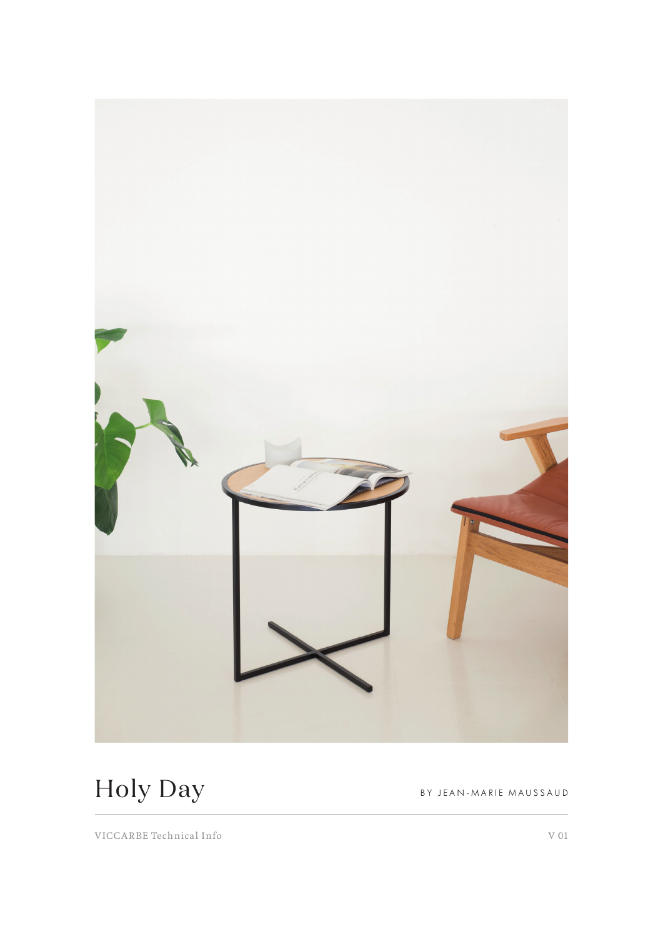

Holy Day BY JEAN-MARIE MAUSSAUD

VICCARBE Technical Info V 01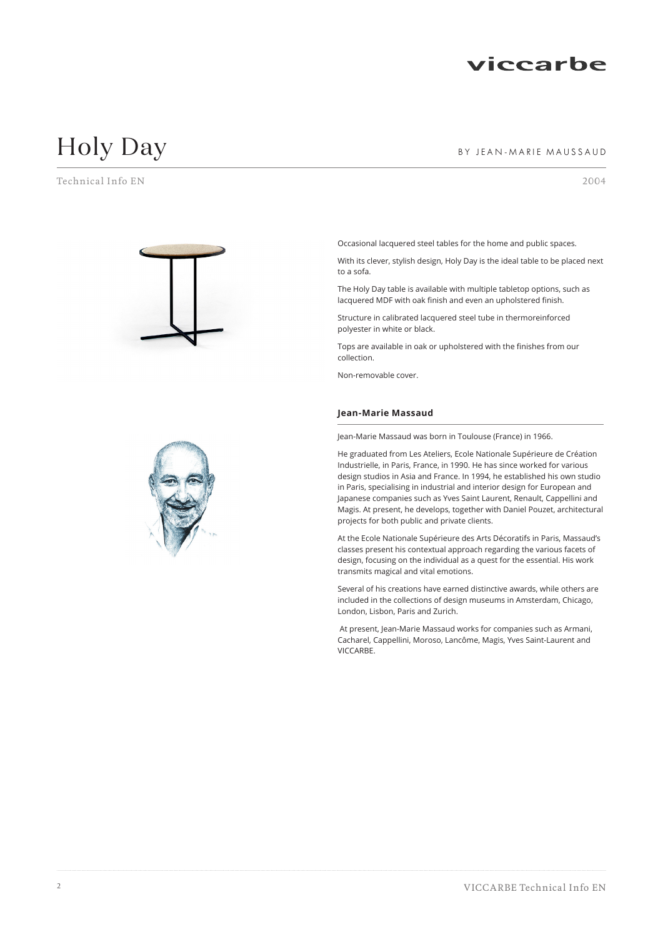

# Holy Day **BY JEAN-MARIE MAUSSAUD**

Technical Info EN 2004



Occasional lacquered steel tables for the home and public spaces.

With its clever, stylish design, Holy Day is the ideal table to be placed next to a sofa.

The Holy Day table is available with multiple tabletop options, such as lacquered MDF with oak finish and even an upholstered finish.

Structure in calibrated lacquered steel tube in thermoreinforced polyester in white or black.

Tops are available in oak or upholstered with the finishes from our collection.

Non-removable cover.

#### **Jean-Marie Massaud**

Jean-Marie Massaud was born in Toulouse (France) in 1966.

He graduated from Les Ateliers, Ecole Nationale Supérieure de Création Industrielle, in Paris, France, in 1990. He has since worked for various design studios in Asia and France. In 1994, he established his own studio in Paris, specialising in industrial and interior design for European and Japanese companies such as Yves Saint Laurent, Renault, Cappellini and Magis. At present, he develops, together with Daniel Pouzet, architectural projects for both public and private clients.

At the Ecole Nationale Supérieure des Arts Décoratifs in Paris, Massaud's classes present his contextual approach regarding the various facets of design, focusing on the individual as a quest for the essential. His work transmits magical and vital emotions.

Several of his creations have earned distinctive awards, while others are included in the collections of design museums in Amsterdam, Chicago, London, Lisbon, Paris and Zurich.

 At present, Jean-Marie Massaud works for companies such as Armani, Cacharel, Cappellini, Moroso, Lancôme, Magis, Yves Saint-Laurent and VICCARBE.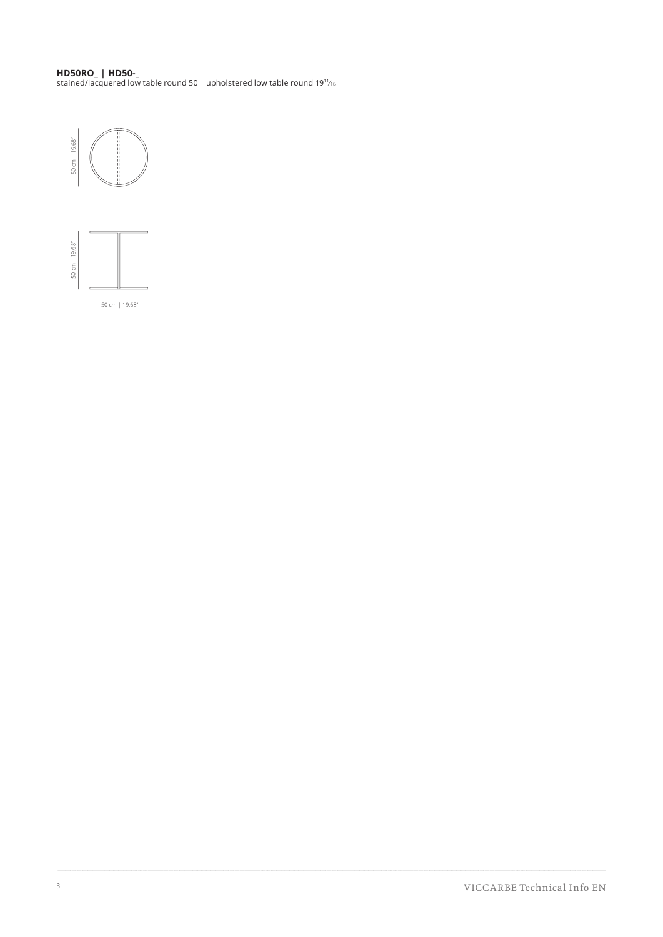### **HD50RO\_ | HD50-\_**

stained/lacquered low table round 50 | upholstered low table round 19 $\frac{1}{16}$